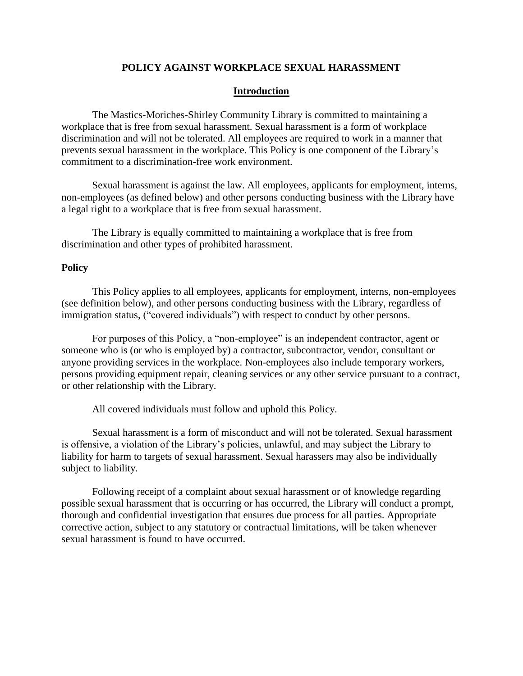## **POLICY AGAINST WORKPLACE SEXUAL HARASSMENT**

## **Introduction**

The Mastics-Moriches-Shirley Community Library is committed to maintaining a workplace that is free from sexual harassment. Sexual harassment is a form of workplace discrimination and will not be tolerated. All employees are required to work in a manner that prevents sexual harassment in the workplace. This Policy is one component of the Library's commitment to a discrimination-free work environment.

Sexual harassment is against the law. All employees, applicants for employment, interns, non-employees (as defined below) and other persons conducting business with the Library have a legal right to a workplace that is free from sexual harassment.

The Library is equally committed to maintaining a workplace that is free from discrimination and other types of prohibited harassment.

### **Policy**

This Policy applies to all employees, applicants for employment, interns, non-employees (see definition below), and other persons conducting business with the Library, regardless of immigration status, ("covered individuals") with respect to conduct by other persons.

For purposes of this Policy, a "non-employee" is an independent contractor, agent or someone who is (or who is employed by) a contractor, subcontractor, vendor, consultant or anyone providing services in the workplace. Non-employees also include temporary workers, persons providing equipment repair, cleaning services or any other service pursuant to a contract, or other relationship with the Library.

All covered individuals must follow and uphold this Policy.

Sexual harassment is a form of misconduct and will not be tolerated. Sexual harassment is offensive, a violation of the Library's policies, unlawful, and may subject the Library to liability for harm to targets of sexual harassment. Sexual harassers may also be individually subject to liability.

Following receipt of a complaint about sexual harassment or of knowledge regarding possible sexual harassment that is occurring or has occurred, the Library will conduct a prompt, thorough and confidential investigation that ensures due process for all parties. Appropriate corrective action, subject to any statutory or contractual limitations, will be taken whenever sexual harassment is found to have occurred.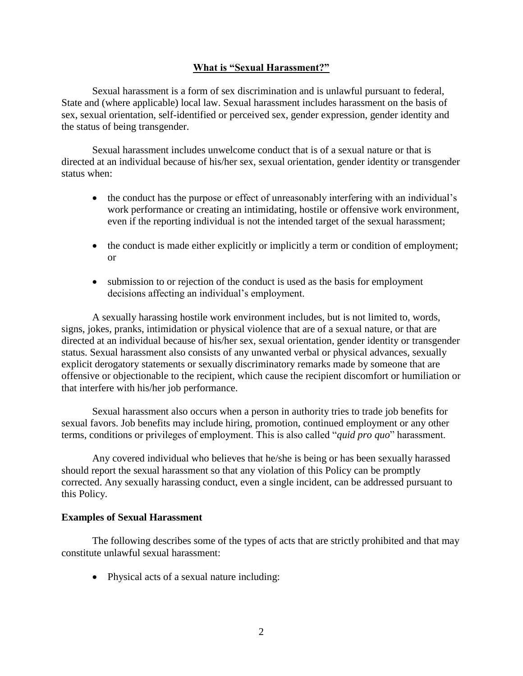## **What is "Sexual Harassment?"**

Sexual harassment is a form of sex discrimination and is unlawful pursuant to federal, State and (where applicable) local law. Sexual harassment includes harassment on the basis of sex, sexual orientation, self-identified or perceived sex, gender expression, gender identity and the status of being transgender.

Sexual harassment includes unwelcome conduct that is of a sexual nature or that is directed at an individual because of his/her sex, sexual orientation, gender identity or transgender status when:

- the conduct has the purpose or effect of unreasonably interfering with an individual's work performance or creating an intimidating, hostile or offensive work environment, even if the reporting individual is not the intended target of the sexual harassment;
- the conduct is made either explicitly or implicitly a term or condition of employment; or
- submission to or rejection of the conduct is used as the basis for employment decisions affecting an individual's employment.

A sexually harassing hostile work environment includes, but is not limited to, words, signs, jokes, pranks, intimidation or physical violence that are of a sexual nature, or that are directed at an individual because of his/her sex, sexual orientation, gender identity or transgender status. Sexual harassment also consists of any unwanted verbal or physical advances, sexually explicit derogatory statements or sexually discriminatory remarks made by someone that are offensive or objectionable to the recipient, which cause the recipient discomfort or humiliation or that interfere with his/her job performance.

Sexual harassment also occurs when a person in authority tries to trade job benefits for sexual favors. Job benefits may include hiring, promotion, continued employment or any other terms, conditions or privileges of employment. This is also called "*quid pro quo*" harassment.

Any covered individual who believes that he/she is being or has been sexually harassed should report the sexual harassment so that any violation of this Policy can be promptly corrected. Any sexually harassing conduct, even a single incident, can be addressed pursuant to this Policy.

## **Examples of Sexual Harassment**

The following describes some of the types of acts that are strictly prohibited and that may constitute unlawful sexual harassment:

• Physical acts of a sexual nature including: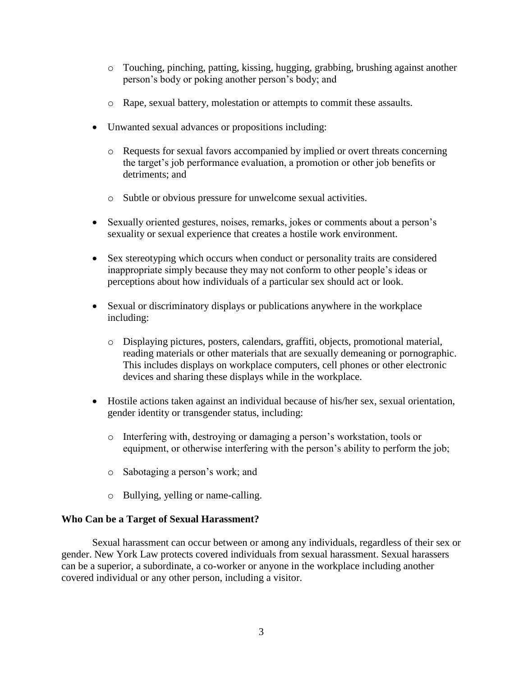- o Touching, pinching, patting, kissing, hugging, grabbing, brushing against another person's body or poking another person's body; and
- o Rape, sexual battery, molestation or attempts to commit these assaults.
- Unwanted sexual advances or propositions including:
	- o Requests for sexual favors accompanied by implied or overt threats concerning the target's job performance evaluation, a promotion or other job benefits or detriments; and
	- o Subtle or obvious pressure for unwelcome sexual activities.
- Sexually oriented gestures, noises, remarks, jokes or comments about a person's sexuality or sexual experience that creates a hostile work environment.
- Sex stereotyping which occurs when conduct or personality traits are considered inappropriate simply because they may not conform to other people's ideas or perceptions about how individuals of a particular sex should act or look.
- Sexual or discriminatory displays or publications anywhere in the workplace including:
	- o Displaying pictures, posters, calendars, graffiti, objects, promotional material, reading materials or other materials that are sexually demeaning or pornographic. This includes displays on workplace computers, cell phones or other electronic devices and sharing these displays while in the workplace.
- Hostile actions taken against an individual because of his/her sex, sexual orientation, gender identity or transgender status, including:
	- o Interfering with, destroying or damaging a person's workstation, tools or equipment, or otherwise interfering with the person's ability to perform the job;
	- o Sabotaging a person's work; and
	- o Bullying, yelling or name-calling.

## **Who Can be a Target of Sexual Harassment?**

Sexual harassment can occur between or among any individuals, regardless of their sex or gender. New York Law protects covered individuals from sexual harassment. Sexual harassers can be a superior, a subordinate, a co-worker or anyone in the workplace including another covered individual or any other person, including a visitor.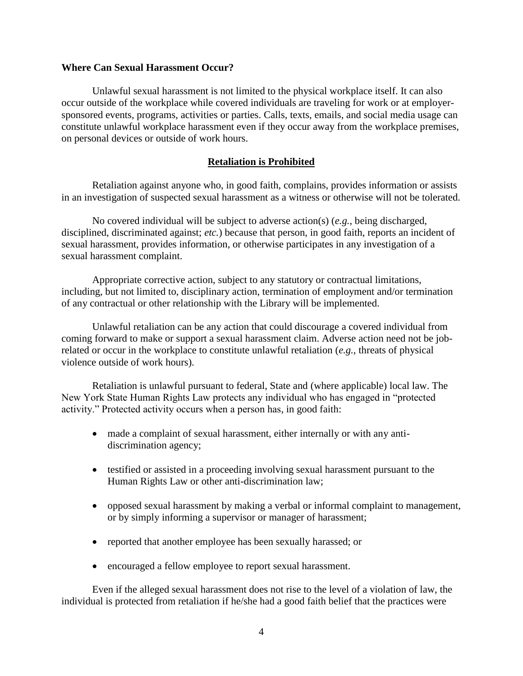### **Where Can Sexual Harassment Occur?**

Unlawful sexual harassment is not limited to the physical workplace itself. It can also occur outside of the workplace while covered individuals are traveling for work or at employersponsored events, programs, activities or parties. Calls, texts, emails, and social media usage can constitute unlawful workplace harassment even if they occur away from the workplace premises, on personal devices or outside of work hours.

## **Retaliation is Prohibited**

Retaliation against anyone who, in good faith, complains, provides information or assists in an investigation of suspected sexual harassment as a witness or otherwise will not be tolerated.

No covered individual will be subject to adverse action(s) (*e.g.*, being discharged, disciplined, discriminated against; *etc.*) because that person, in good faith, reports an incident of sexual harassment, provides information, or otherwise participates in any investigation of a sexual harassment complaint.

Appropriate corrective action, subject to any statutory or contractual limitations, including, but not limited to, disciplinary action, termination of employment and/or termination of any contractual or other relationship with the Library will be implemented.

Unlawful retaliation can be any action that could discourage a covered individual from coming forward to make or support a sexual harassment claim. Adverse action need not be jobrelated or occur in the workplace to constitute unlawful retaliation (*e.g.*, threats of physical violence outside of work hours).

Retaliation is unlawful pursuant to federal, State and (where applicable) local law. The New York State Human Rights Law protects any individual who has engaged in "protected activity." Protected activity occurs when a person has, in good faith:

- made a complaint of sexual harassment, either internally or with any antidiscrimination agency;
- testified or assisted in a proceeding involving sexual harassment pursuant to the Human Rights Law or other anti-discrimination law;
- opposed sexual harassment by making a verbal or informal complaint to management, or by simply informing a supervisor or manager of harassment;
- reported that another employee has been sexually harassed; or
- encouraged a fellow employee to report sexual harassment.

Even if the alleged sexual harassment does not rise to the level of a violation of law, the individual is protected from retaliation if he/she had a good faith belief that the practices were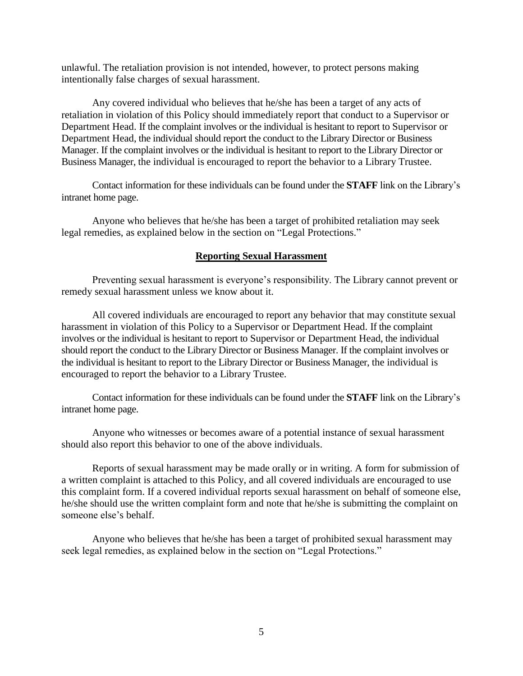unlawful. The retaliation provision is not intended, however, to protect persons making intentionally false charges of sexual harassment.

Any covered individual who believes that he/she has been a target of any acts of retaliation in violation of this Policy should immediately report that conduct to a Supervisor or Department Head. If the complaint involves or the individual is hesitant to report to Supervisor or Department Head, the individual should report the conduct to the Library Director or Business Manager. If the complaint involves or the individual is hesitant to report to the Library Director or Business Manager, the individual is encouraged to report the behavior to a Library Trustee.

Contact information for these individuals can be found under the **STAFF** link on the Library's intranet home page.

Anyone who believes that he/she has been a target of prohibited retaliation may seek legal remedies, as explained below in the section on "Legal Protections."

### **Reporting Sexual Harassment**

Preventing sexual harassment is everyone's responsibility. The Library cannot prevent or remedy sexual harassment unless we know about it.

All covered individuals are encouraged to report any behavior that may constitute sexual harassment in violation of this Policy to a Supervisor or Department Head. If the complaint involves or the individual is hesitant to report to Supervisor or Department Head, the individual should report the conduct to the Library Director or Business Manager. If the complaint involves or the individual is hesitant to report to the Library Director or Business Manager, the individual is encouraged to report the behavior to a Library Trustee.

Contact information for these individuals can be found under the **STAFF** link on the Library's intranet home page.

Anyone who witnesses or becomes aware of a potential instance of sexual harassment should also report this behavior to one of the above individuals.

Reports of sexual harassment may be made orally or in writing. A form for submission of a written complaint is attached to this Policy, and all covered individuals are encouraged to use this complaint form. If a covered individual reports sexual harassment on behalf of someone else, he/she should use the written complaint form and note that he/she is submitting the complaint on someone else's behalf.

Anyone who believes that he/she has been a target of prohibited sexual harassment may seek legal remedies, as explained below in the section on "Legal Protections."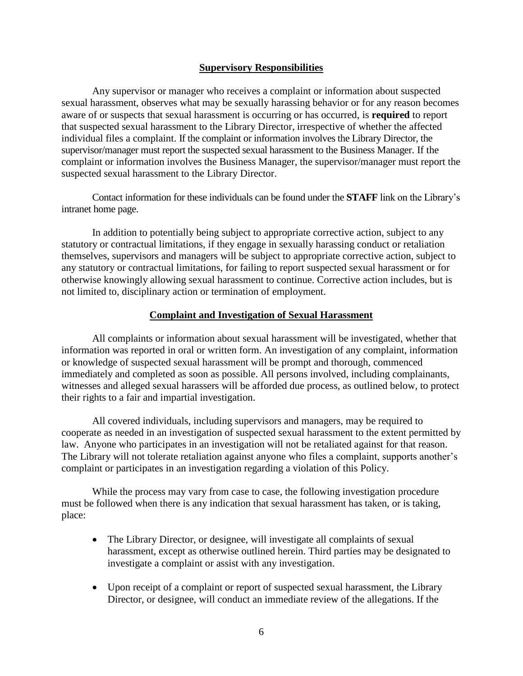### **Supervisory Responsibilities**

Any supervisor or manager who receives a complaint or information about suspected sexual harassment, observes what may be sexually harassing behavior or for any reason becomes aware of or suspects that sexual harassment is occurring or has occurred, is **required** to report that suspected sexual harassment to the Library Director, irrespective of whether the affected individual files a complaint. If the complaint or information involves the Library Director, the supervisor/manager must report the suspected sexual harassment to the Business Manager. If the complaint or information involves the Business Manager, the supervisor/manager must report the suspected sexual harassment to the Library Director.

Contact information for these individuals can be found under the **STAFF** link on the Library's intranet home page.

In addition to potentially being subject to appropriate corrective action, subject to any statutory or contractual limitations, if they engage in sexually harassing conduct or retaliation themselves, supervisors and managers will be subject to appropriate corrective action, subject to any statutory or contractual limitations, for failing to report suspected sexual harassment or for otherwise knowingly allowing sexual harassment to continue. Corrective action includes, but is not limited to, disciplinary action or termination of employment.

### **Complaint and Investigation of Sexual Harassment**

All complaints or information about sexual harassment will be investigated, whether that information was reported in oral or written form. An investigation of any complaint, information or knowledge of suspected sexual harassment will be prompt and thorough, commenced immediately and completed as soon as possible. All persons involved, including complainants, witnesses and alleged sexual harassers will be afforded due process, as outlined below, to protect their rights to a fair and impartial investigation.

All covered individuals, including supervisors and managers, may be required to cooperate as needed in an investigation of suspected sexual harassment to the extent permitted by law. Anyone who participates in an investigation will not be retaliated against for that reason. The Library will not tolerate retaliation against anyone who files a complaint, supports another's complaint or participates in an investigation regarding a violation of this Policy.

While the process may vary from case to case, the following investigation procedure must be followed when there is any indication that sexual harassment has taken, or is taking, place:

- The Library Director, or designee, will investigate all complaints of sexual harassment, except as otherwise outlined herein. Third parties may be designated to investigate a complaint or assist with any investigation.
- Upon receipt of a complaint or report of suspected sexual harassment, the Library Director, or designee, will conduct an immediate review of the allegations. If the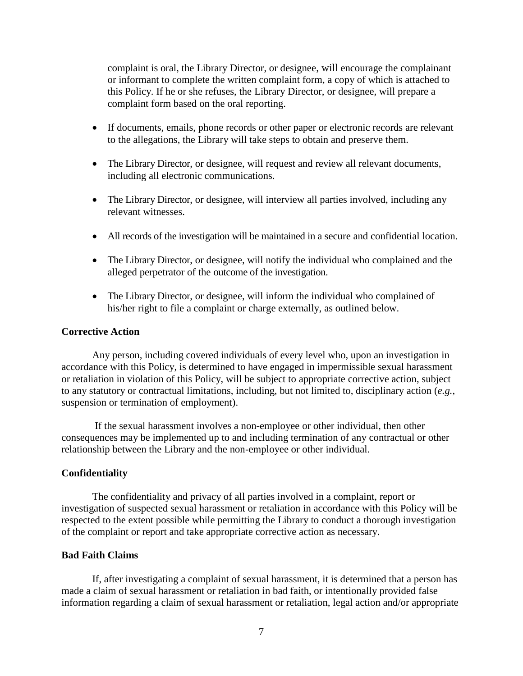complaint is oral, the Library Director, or designee, will encourage the complainant or informant to complete the written complaint form, a copy of which is attached to this Policy. If he or she refuses, the Library Director, or designee, will prepare a complaint form based on the oral reporting.

- If documents, emails, phone records or other paper or electronic records are relevant to the allegations, the Library will take steps to obtain and preserve them.
- The Library Director, or designee, will request and review all relevant documents, including all electronic communications.
- The Library Director, or designee, will interview all parties involved, including any relevant witnesses.
- All records of the investigation will be maintained in a secure and confidential location.
- The Library Director, or designee, will notify the individual who complained and the alleged perpetrator of the outcome of the investigation.
- The Library Director, or designee, will inform the individual who complained of his/her right to file a complaint or charge externally, as outlined below.

### **Corrective Action**

Any person, including covered individuals of every level who, upon an investigation in accordance with this Policy, is determined to have engaged in impermissible sexual harassment or retaliation in violation of this Policy, will be subject to appropriate corrective action, subject to any statutory or contractual limitations, including, but not limited to, disciplinary action (*e.g.*, suspension or termination of employment).

If the sexual harassment involves a non-employee or other individual, then other consequences may be implemented up to and including termination of any contractual or other relationship between the Library and the non-employee or other individual.

#### **Confidentiality**

The confidentiality and privacy of all parties involved in a complaint, report or investigation of suspected sexual harassment or retaliation in accordance with this Policy will be respected to the extent possible while permitting the Library to conduct a thorough investigation of the complaint or report and take appropriate corrective action as necessary.

## **Bad Faith Claims**

If, after investigating a complaint of sexual harassment, it is determined that a person has made a claim of sexual harassment or retaliation in bad faith, or intentionally provided false information regarding a claim of sexual harassment or retaliation, legal action and/or appropriate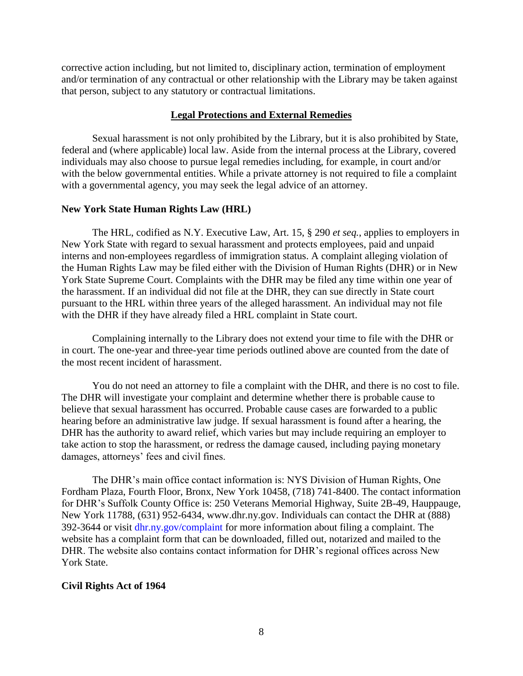corrective action including, but not limited to, disciplinary action, termination of employment and/or termination of any contractual or other relationship with the Library may be taken against that person, subject to any statutory or contractual limitations.

#### **Legal Protections and External Remedies**

Sexual harassment is not only prohibited by the Library, but it is also prohibited by State, federal and (where applicable) local law. Aside from the internal process at the Library, covered individuals may also choose to pursue legal remedies including, for example, in court and/or with the below governmental entities. While a private attorney is not required to file a complaint with a governmental agency, you may seek the legal advice of an attorney.

#### **New York State Human Rights Law (HRL)**

The HRL, codified as N.Y. Executive Law, Art. 15, § 290 *et seq.*, applies to employers in New York State with regard to sexual harassment and protects employees, paid and unpaid interns and non-employees regardless of immigration status. A complaint alleging violation of the Human Rights Law may be filed either with the Division of Human Rights (DHR) or in New York State Supreme Court. Complaints with the DHR may be filed any time within one year of the harassment. If an individual did not file at the DHR, they can sue directly in State court pursuant to the HRL within three years of the alleged harassment. An individual may not file with the DHR if they have already filed a HRL complaint in State court.

Complaining internally to the Library does not extend your time to file with the DHR or in court. The one-year and three-year time periods outlined above are counted from the date of the most recent incident of harassment.

You do not need an attorney to file a complaint with the DHR, and there is no cost to file. The DHR will investigate your complaint and determine whether there is probable cause to believe that sexual harassment has occurred. Probable cause cases are forwarded to a public hearing before an administrative law judge. If sexual harassment is found after a hearing, the DHR has the authority to award relief, which varies but may include requiring an employer to take action to stop the harassment, or redress the damage caused, including paying monetary damages, attorneys' fees and civil fines.

The DHR's main office contact information is: NYS Division of Human Rights, One Fordham Plaza, Fourth Floor, Bronx, New York 10458, (718) 741-8400. The contact information for DHR's Suffolk County Office is: 250 Veterans Memorial Highway, Suite 2B-49, Hauppauge, New York 11788, (631) 952-6434, www.dhr.ny.gov. Individuals can contact the DHR at (888) 392-3644 or visit dhr.ny.gov/complaint for more information about filing a complaint. The website has a complaint form that can be downloaded, filled out, notarized and mailed to the DHR. The website also contains contact information for DHR's regional offices across New York State.

### **Civil Rights Act of 1964**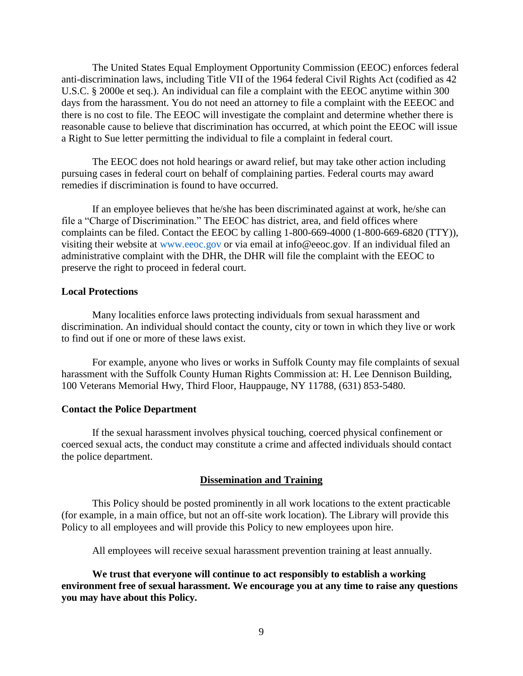The United States Equal Employment Opportunity Commission (EEOC) enforces federal anti-discrimination laws, including Title VII of the 1964 federal Civil Rights Act (codified as 42 U.S.C. § 2000e et seq.). An individual can file a complaint with the EEOC anytime within 300 days from the harassment. You do not need an attorney to file a complaint with the EEEOC and there is no cost to file. The EEOC will investigate the complaint and determine whether there is reasonable cause to believe that discrimination has occurred, at which point the EEOC will issue a Right to Sue letter permitting the individual to file a complaint in federal court.

The EEOC does not hold hearings or award relief, but may take other action including pursuing cases in federal court on behalf of complaining parties. Federal courts may award remedies if discrimination is found to have occurred.

If an employee believes that he/she has been discriminated against at work, he/she can file a "Charge of Discrimination." The EEOC has district, area, and field offices where complaints can be filed. Contact the EEOC by calling 1-800-669-4000 (1-800-669-6820 (TTY)), visiting their website at www.eeoc.gov or via email at info@eeoc.gov. If an individual filed an administrative complaint with the DHR, the DHR will file the complaint with the EEOC to preserve the right to proceed in federal court.

### **Local Protections**

Many localities enforce laws protecting individuals from sexual harassment and discrimination. An individual should contact the county, city or town in which they live or work to find out if one or more of these laws exist.

For example, anyone who lives or works in Suffolk County may file complaints of sexual harassment with the Suffolk County Human Rights Commission at: H. Lee Dennison Building, 100 Veterans Memorial Hwy, Third Floor, Hauppauge, NY 11788, (631) 853-5480.

#### **Contact the Police Department**

If the sexual harassment involves physical touching, coerced physical confinement or coerced sexual acts, the conduct may constitute a crime and affected individuals should contact the police department.

#### **Dissemination and Training**

This Policy should be posted prominently in all work locations to the extent practicable (for example, in a main office, but not an off-site work location). The Library will provide this Policy to all employees and will provide this Policy to new employees upon hire.

All employees will receive sexual harassment prevention training at least annually.

**We trust that everyone will continue to act responsibly to establish a working environment free of sexual harassment. We encourage you at any time to raise any questions you may have about this Policy.**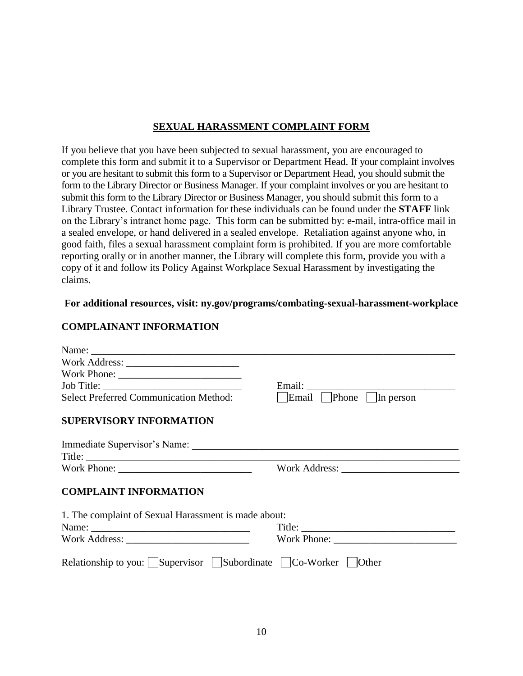# **SEXUAL HARASSMENT COMPLAINT FORM**

If you believe that you have been subjected to sexual harassment, you are encouraged to complete this form and submit it to a Supervisor or Department Head. If your complaint involves or you are hesitant to submit this form to a Supervisor or Department Head, you should submit the form to the Library Director or Business Manager. If your complaint involves or you are hesitant to submit this form to the Library Director or Business Manager, you should submit this form to a Library Trustee. Contact information for these individuals can be found under the **STAFF** link on the Library's intranet home page. This form can be submitted by: e-mail, intra-office mail in a sealed envelope, or hand delivered in a sealed envelope. Retaliation against anyone who, in good faith, files a sexual harassment complaint form is prohibited. If you are more comfortable reporting orally or in another manner, the Library will complete this form, provide you with a copy of it and follow its Policy Against Workplace Sexual Harassment by investigating the claims.

## **For additional resources, visit: ny.gov/programs/combating-sexual-harassment-workplace**

# **COMPLAINANT INFORMATION**

| <b>Select Preferred Communication Method:</b>               | Email:<br>Email Phone In person |
|-------------------------------------------------------------|---------------------------------|
| <b>SUPERVISORY INFORMATION</b>                              |                                 |
|                                                             |                                 |
|                                                             |                                 |
| <b>COMPLAINT INFORMATION</b>                                |                                 |
| 1. The complaint of Sexual Harassment is made about:        |                                 |
|                                                             |                                 |
|                                                             |                                 |
| Relationship to you: Supervisor Subordinate Co-Worker Other |                                 |